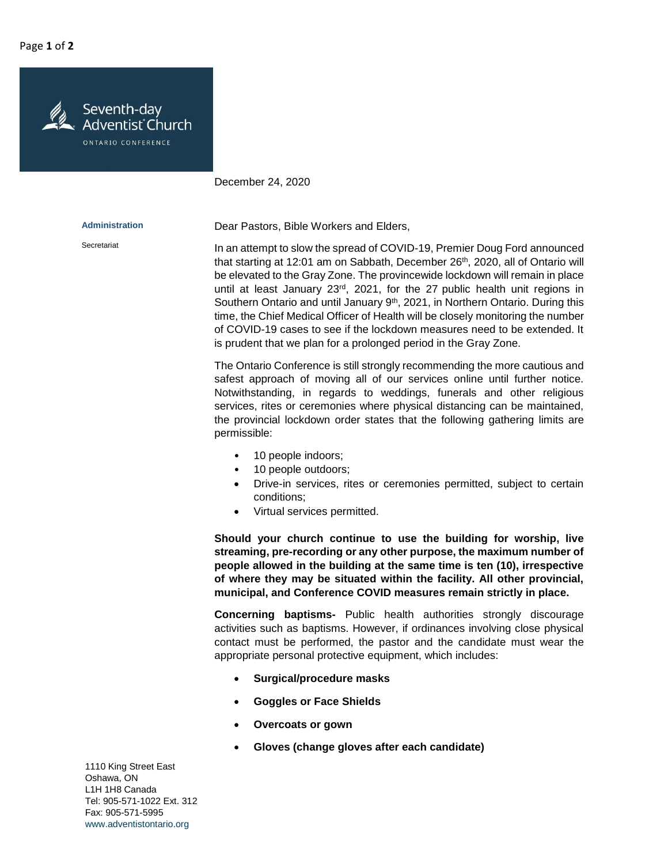Seventh-day Adventist Church ONTARIO CONFERENCE

December 24, 2020

| <b>Administration</b> | Dear Pastors, Bible Workers and Elders,                                                                                                                                                                                                                                                                                                                                                                                                                                                                                                                                                                                                                             |
|-----------------------|---------------------------------------------------------------------------------------------------------------------------------------------------------------------------------------------------------------------------------------------------------------------------------------------------------------------------------------------------------------------------------------------------------------------------------------------------------------------------------------------------------------------------------------------------------------------------------------------------------------------------------------------------------------------|
| Secretariat           | In an attempt to slow the spread of COVID-19, Premier Doug Ford announced<br>that starting at 12:01 am on Sabbath, December 26th, 2020, all of Ontario will<br>be elevated to the Gray Zone. The provincewide lockdown will remain in place<br>until at least January $23^{rd}$ , 2021, for the 27 public health unit regions in<br>Southern Ontario and until January 9 <sup>th</sup> , 2021, in Northern Ontario. During this<br>time, the Chief Medical Officer of Health will be closely monitoring the number<br>of COVID-19 cases to see if the lockdown measures need to be extended. It<br>is prudent that we plan for a prolonged period in the Gray Zone. |
|                       | The Ontario Conference is still strongly recommending the more cautious and<br>safest approach of moving all of our services online until further notice.<br>Notwithstanding, in regards to weddings, funerals and other religious<br>services, rites or ceremonies where physical distancing can be maintained,<br>the provincial lockdown order states that the following gathering limits are<br>permissible:                                                                                                                                                                                                                                                    |
|                       | 10 people indoors;<br>10 people outdoors;                                                                                                                                                                                                                                                                                                                                                                                                                                                                                                                                                                                                                           |

- Drive-in services, rites or ceremonies permitted, subject to certain conditions;
- Virtual services permitted.

**Should your church continue to use the building for worship, live streaming, pre-recording or any other purpose, the maximum number of people allowed in the building at the same time is ten (10), irrespective of where they may be situated within the facility. All other provincial, municipal, and Conference COVID measures remain strictly in place.**

**Concerning baptisms-** Public health authorities strongly discourage activities such as baptisms. However, if ordinances involving close physical contact must be performed, the pastor and the candidate must wear the appropriate personal protective equipment, which includes:

- **Surgical/procedure masks**
- **Goggles or Face Shields**
- **Overcoats or gown**
- **Gloves (change gloves after each candidate)**

1110 King Street East Oshawa, ON L1H 1H8 Canada Tel: 905-571-1022 Ext. 312 Fax: 905-571-5995 www.adventistontario.org